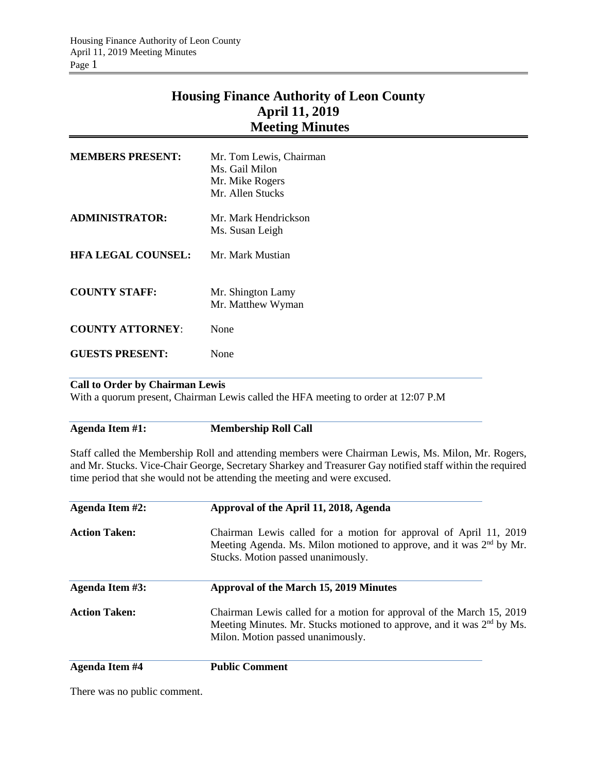## **Housing Finance Authority of Leon County April 11, 2019 Meeting Minutes**

| <b>MEMBERS PRESENT:</b>   | Mr. Tom Lewis, Chairman<br>Ms. Gail Milon<br>Mr. Mike Rogers<br>Mr. Allen Stucks |
|---------------------------|----------------------------------------------------------------------------------|
| ADMINISTRATOR:            | Mr. Mark Hendrickson<br>Ms. Susan Leigh                                          |
| <b>HFA LEGAL COUNSEL:</b> | Mr. Mark Mustian                                                                 |
| <b>COUNTY STAFF:</b>      | Mr. Shington Lamy<br>Mr. Matthew Wyman                                           |
| <b>COUNTY ATTORNEY:</b>   | None                                                                             |
| <b>GUESTS PRESENT:</b>    | None                                                                             |

## **Call to Order by Chairman Lewis**

With a quorum present, Chairman Lewis called the HFA meeting to order at 12:07 P.M

**Agenda Item #1: Membership Roll Call**

Staff called the Membership Roll and attending members were Chairman Lewis, Ms. Milon, Mr. Rogers, and Mr. Stucks. Vice-Chair George, Secretary Sharkey and Treasurer Gay notified staff within the required time period that she would not be attending the meeting and were excused.

| Agenda Item #2:       | Approval of the April 11, 2018, Agenda<br>Chairman Lewis called for a motion for approval of April 11, 2019<br>Meeting Agenda. Ms. Milon motioned to approve, and it was $2nd$ by Mr.<br>Stucks. Motion passed unanimously. |  |  |  |
|-----------------------|-----------------------------------------------------------------------------------------------------------------------------------------------------------------------------------------------------------------------------|--|--|--|
| <b>Action Taken:</b>  |                                                                                                                                                                                                                             |  |  |  |
| Agenda Item #3:       | Approval of the March 15, 2019 Minutes                                                                                                                                                                                      |  |  |  |
| <b>Action Taken:</b>  | Chairman Lewis called for a motion for approval of the March 15, 2019<br>Meeting Minutes. Mr. Stucks motioned to approve, and it was $2nd$ by Ms.<br>Milon. Motion passed unanimously.                                      |  |  |  |
| <b>Agenda Item #4</b> | <b>Public Comment</b>                                                                                                                                                                                                       |  |  |  |

There was no public comment.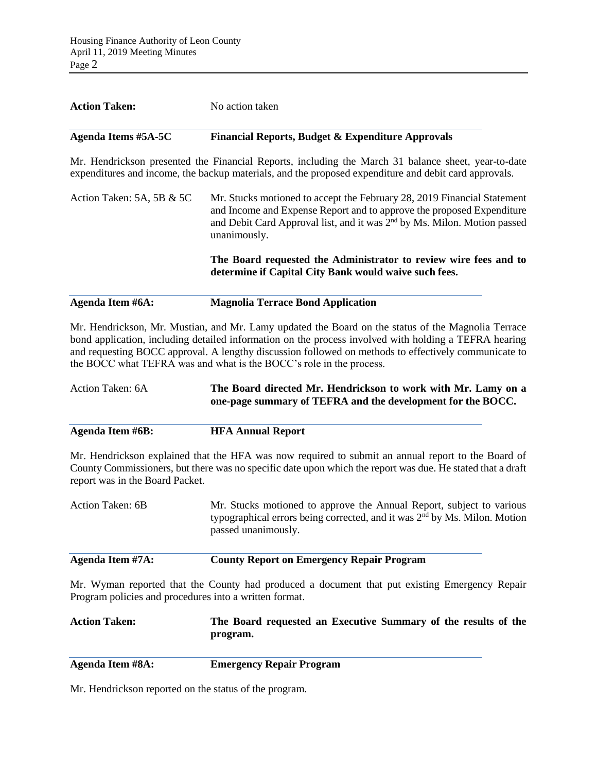| <b>Action Taken:</b>      | No action taken                                                                                                                                                                                                                                          |  |  |
|---------------------------|----------------------------------------------------------------------------------------------------------------------------------------------------------------------------------------------------------------------------------------------------------|--|--|
| Agenda Items #5A-5C       | <b>Financial Reports, Budget &amp; Expenditure Approvals</b>                                                                                                                                                                                             |  |  |
|                           | Mr. Hendrickson presented the Financial Reports, including the March 31 balance sheet, year-to-date<br>expenditures and income, the backup materials, and the proposed expenditure and debit card approvals.                                             |  |  |
| Action Taken: 5A, 5B & 5C | Mr. Stucks motioned to accept the February 28, 2019 Financial Statement<br>and Income and Expense Report and to approve the proposed Expenditure<br>and Debit Card Approval list, and it was 2 <sup>nd</sup> by Ms. Milon. Motion passed<br>unanimously. |  |  |
|                           | The Board requested the Administrator to review wire fees and to<br>determine if Capital City Bank would waive such fees.                                                                                                                                |  |  |
| Agenda Item #6A:          | <b>Magnolia Terrace Bond Application</b>                                                                                                                                                                                                                 |  |  |

Mr. Hendrickson, Mr. Mustian, and Mr. Lamy updated the Board on the status of the Magnolia Terrace bond application, including detailed information on the process involved with holding a TEFRA hearing and requesting BOCC approval. A lengthy discussion followed on methods to effectively communicate to the BOCC what TEFRA was and what is the BOCC's role in the process.

Action Taken: 6A **The Board directed Mr. Hendrickson to work with Mr. Lamy on a one-page summary of TEFRA and the development for the BOCC.**

**Agenda Item #6B: HFA Annual Report**

Mr. Hendrickson explained that the HFA was now required to submit an annual report to the Board of County Commissioners, but there was no specific date upon which the report was due. He stated that a draft report was in the Board Packet.

| Action Taken: 6B | Mr. Stucks motioned to approve the Annual Report, subject to various                  |
|------------------|---------------------------------------------------------------------------------------|
|                  | typographical errors being corrected, and it was 2 <sup>nd</sup> by Ms. Milon. Motion |
|                  | passed unanimously.                                                                   |
|                  |                                                                                       |

**Agenda Item #7A: County Report on Emergency Repair Program**

Mr. Wyman reported that the County had produced a document that put existing Emergency Repair Program policies and procedures into a written format.

**Action Taken: The Board requested an Executive Summary of the results of the program.**

**Agenda Item #8A: Emergency Repair Program**

Mr. Hendrickson reported on the status of the program.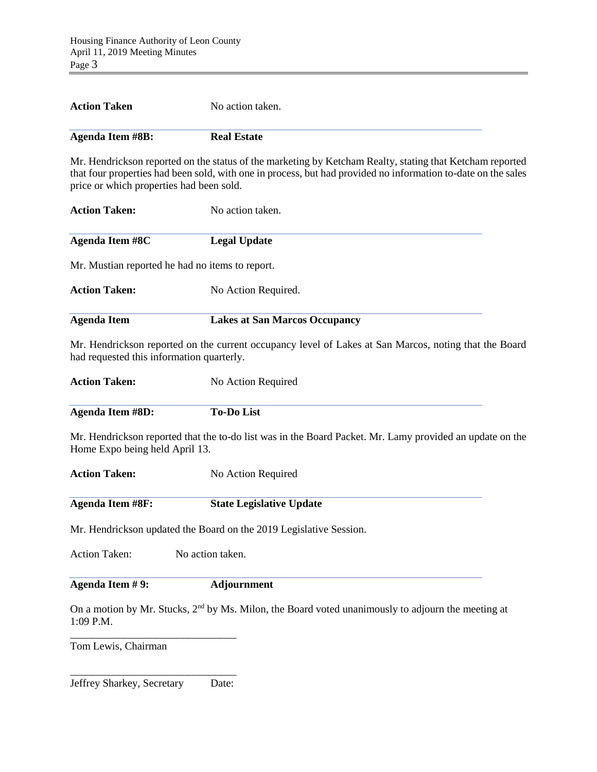**Action Taken** No action taken.

| <b>Agenda Item #8B:</b>                         | <b>Real Estate</b>                                                                                                                                                                                                        |
|-------------------------------------------------|---------------------------------------------------------------------------------------------------------------------------------------------------------------------------------------------------------------------------|
| price or which properties had been sold.        | Mr. Hendrickson reported on the status of the marketing by Ketcham Realty, stating that Ketcham reported<br>that four properties had been sold, with one in process, but had provided no information to-date on the sales |
| <b>Action Taken:</b>                            | No action taken.                                                                                                                                                                                                          |
| <b>Agenda Item #8C</b>                          | <b>Legal Update</b>                                                                                                                                                                                                       |
| Mr. Mustian reported he had no items to report. |                                                                                                                                                                                                                           |
| <b>Action Taken:</b>                            | No Action Required.                                                                                                                                                                                                       |
| <b>Agenda Item</b>                              | <b>Lakes at San Marcos Occupancy</b>                                                                                                                                                                                      |
| had requested this information quarterly.       | Mr. Hendrickson reported on the current occupancy level of Lakes at San Marcos, noting that the Board                                                                                                                     |
| <b>Action Taken:</b>                            | No Action Required                                                                                                                                                                                                        |
| <b>Agenda Item #8D:</b>                         | <b>To-Do List</b>                                                                                                                                                                                                         |
| Home Expo being held April 13.                  | Mr. Hendrickson reported that the to-do list was in the Board Packet. Mr. Lamy provided an update on the                                                                                                                  |
| <b>Action Taken:</b>                            | No Action Required                                                                                                                                                                                                        |
| <b>Agenda Item #8F:</b>                         | <b>State Legislative Update</b>                                                                                                                                                                                           |
|                                                 | Mr. Hendrickson updated the Board on the 2019 Legislative Session.                                                                                                                                                        |
| <b>Action Taken:</b><br>No action taken.        |                                                                                                                                                                                                                           |
| Agenda Item #9:                                 | <b>Adjournment</b>                                                                                                                                                                                                        |

On a motion by Mr. Stucks, 2<sup>nd</sup> by Ms. Milon, the Board voted unanimously to adjourn the meeting at 1:09 P.M.

Tom Lewis, Chairman

\_\_\_\_\_\_\_\_\_\_\_\_\_\_\_\_\_\_\_\_\_\_\_\_\_\_\_\_\_\_\_ Jeffrey Sharkey, Secretary Date:

\_\_\_\_\_\_\_\_\_\_\_\_\_\_\_\_\_\_\_\_\_\_\_\_\_\_\_\_\_\_\_